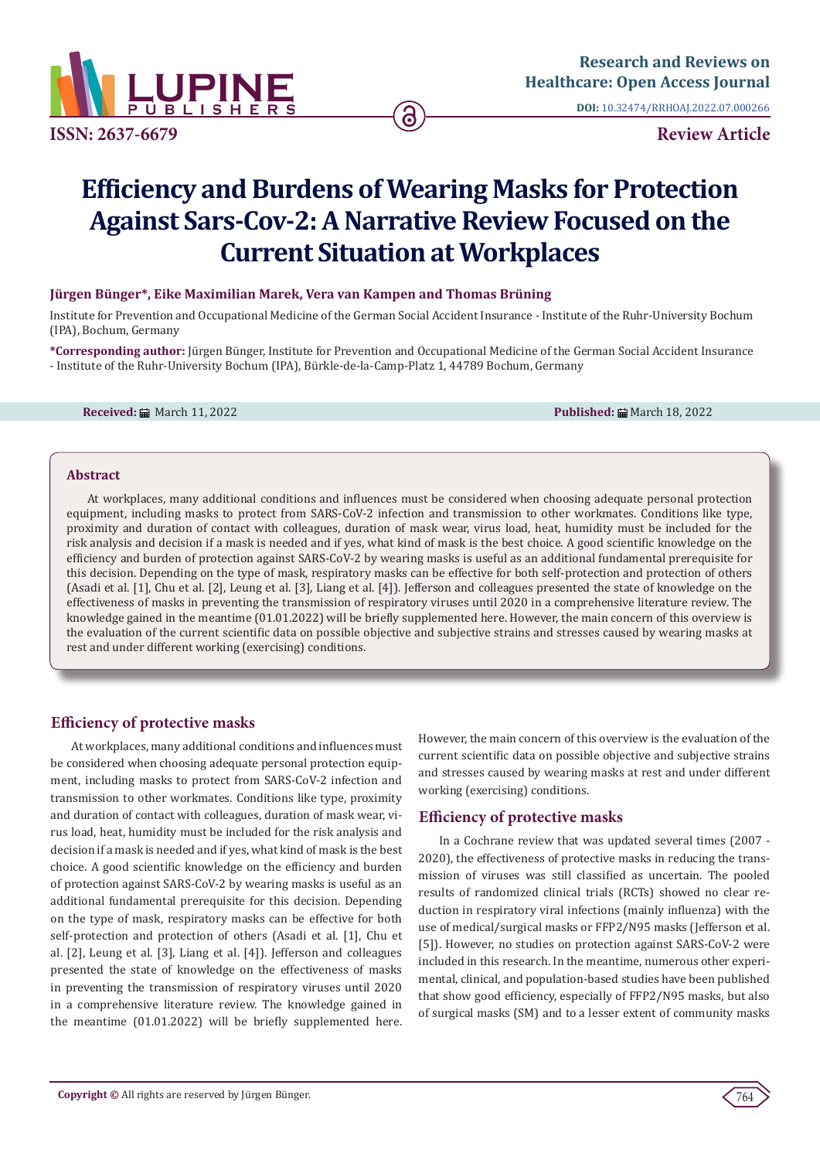

**DOI:** [10.32474/RRHOAJ.2022.07.0002](http://dx.doi.org/10.32474/RRHOAJ.2022.07.000266)66

# **Efficiency and Burdens of Wearing Masks for Protection Against Sars-Cov-2: A Narrative Review Focused on the Current Situation at Workplaces**

### **Jürgen Bünger\*, Eike Maximilian Marek, Vera van Kampen and Thomas Brüning**

Institute for Prevention and Occupational Medicine of the German Social Accident Insurance - Institute of the Ruhr-University Bochum (IPA), Bochum, Germany

**\*Corresponding author:** Jürgen Bünger, Institute for Prevention and Occupational Medicine of the German Social Accident Insurance - Institute of the Ruhr-University Bochum (IPA), Bürkle-de-la-Camp-Platz 1, 44789 Bochum, Germany

**Received:** March 11, 2022 **Published:** March 18, 2022

#### **Abstract**

At workplaces, many additional conditions and influences must be considered when choosing adequate personal protection equipment, including masks to protect from SARS-CoV-2 infection and transmission to other workmates. Conditions like type, proximity and duration of contact with colleagues, duration of mask wear, virus load, heat, humidity must be included for the risk analysis and decision if a mask is needed and if yes, what kind of mask is the best choice. A good scientific knowledge on the efficiency and burden of protection against SARS-CoV-2 by wearing masks is useful as an additional fundamental prerequisite for this decision. Depending on the type of mask, respiratory masks can be effective for both self-protection and protection of others (Asadi et al. [1], Chu et al. [2], Leung et al. [3], Liang et al. [4]). Jefferson and colleagues presented the state of knowledge on the effectiveness of masks in preventing the transmission of respiratory viruses until 2020 in a comprehensive literature review. The knowledge gained in the meantime (01.01.2022) will be briefly supplemented here. However, the main concern of this overview is the evaluation of the current scientific data on possible objective and subjective strains and stresses caused by wearing masks at rest and under different working (exercising) conditions.

# **Efficiency of protective masks**

At workplaces, many additional conditions and influences must be considered when choosing adequate personal protection equipment, including masks to protect from SARS-CoV-2 infection and transmission to other workmates. Conditions like type, proximity and duration of contact with colleagues, duration of mask wear, virus load, heat, humidity must be included for the risk analysis and decision if a mask is needed and if yes, what kind of mask is the best choice. A good scientific knowledge on the efficiency and burden of protection against SARS-CoV-2 by wearing masks is useful as an additional fundamental prerequisite for this decision. Depending on the type of mask, respiratory masks can be effective for both self-protection and protection of others (Asadi et al. [1], Chu et al. [2], Leung et al. [3], Liang et al. [4]). Jefferson and colleagues presented the state of knowledge on the effectiveness of masks in preventing the transmission of respiratory viruses until 2020 in a comprehensive literature review. The knowledge gained in the meantime (01.01.2022) will be briefly supplemented here.

However, the main concern of this overview is the evaluation of the current scientific data on possible objective and subjective strains and stresses caused by wearing masks at rest and under different working (exercising) conditions.

# **Efficiency of protective masks**

In a Cochrane review that was updated several times (2007 - 2020), the effectiveness of protective masks in reducing the transmission of viruses was still classified as uncertain. The pooled results of randomized clinical trials (RCTs) showed no clear reduction in respiratory viral infections (mainly influenza) with the use of medical/surgical masks or FFP2/N95 masks (Jefferson et al. [5]). However, no studies on protection against SARS-CoV-2 were included in this research. In the meantime, numerous other experimental, clinical, and population-based studies have been published that show good efficiency, especially of FFP2/N95 masks, but also of surgical masks (SM) and to a lesser extent of community masks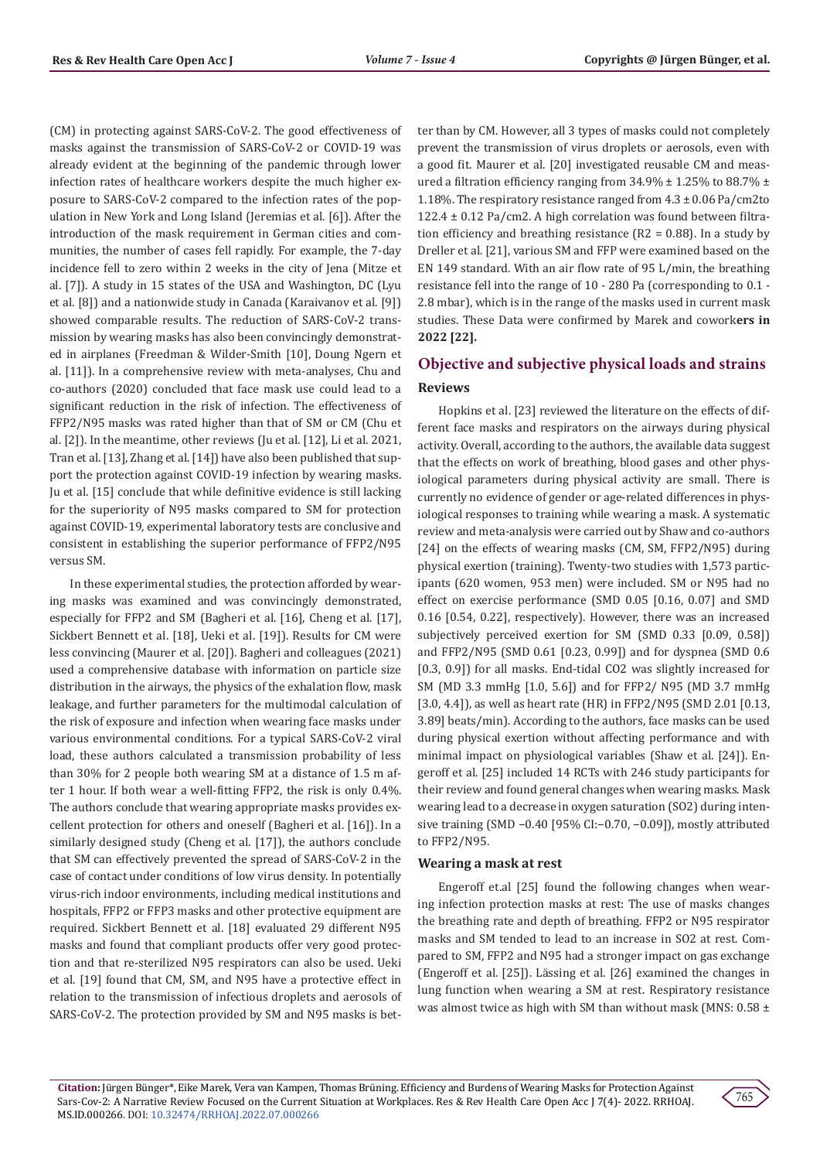(CM) in protecting against SARS-CoV-2. The good effectiveness of masks against the transmission of SARS-CoV-2 or COVID-19 was already evident at the beginning of the pandemic through lower infection rates of healthcare workers despite the much higher exposure to SARS-CoV-2 compared to the infection rates of the population in New York and Long Island (Jeremias et al. [6]). After the introduction of the mask requirement in German cities and communities, the number of cases fell rapidly. For example, the 7-day incidence fell to zero within 2 weeks in the city of Jena (Mitze et al. [7]). A study in 15 states of the USA and Washington, DC (Lyu et al. [8]) and a nationwide study in Canada (Karaivanov et al. [9]) showed comparable results. The reduction of SARS-CoV-2 transmission by wearing masks has also been convincingly demonstrated in airplanes (Freedman & Wilder-Smith [10], Doung Ngern et al. [11]). In a comprehensive review with meta-analyses, Chu and co-authors (2020) concluded that face mask use could lead to a significant reduction in the risk of infection. The effectiveness of FFP2/N95 masks was rated higher than that of SM or CM (Chu et al. [2]). In the meantime, other reviews (Ju et al. [12], Li et al. 2021, Tran et al. [13], Zhang et al. [14]) have also been published that support the protection against COVID-19 infection by wearing masks. Ju et al. [15] conclude that while definitive evidence is still lacking for the superiority of N95 masks compared to SM for protection against COVID-19, experimental laboratory tests are conclusive and consistent in establishing the superior performance of FFP2/N95 versus SM.

In these experimental studies, the protection afforded by wearing masks was examined and was convincingly demonstrated, especially for FFP2 and SM (Bagheri et al. [16], Cheng et al. [17], Sickbert Bennett et al. [18], Ueki et al. [19]). Results for CM were less convincing (Maurer et al. [20]). Bagheri and colleagues (2021) used a comprehensive database with information on particle size distribution in the airways, the physics of the exhalation flow, mask leakage, and further parameters for the multimodal calculation of the risk of exposure and infection when wearing face masks under various environmental conditions. For a typical SARS-CoV-2 viral load, these authors calculated a transmission probability of less than 30% for 2 people both wearing SM at a distance of 1.5 m after 1 hour. If both wear a well-fitting FFP2, the risk is only 0.4%. The authors conclude that wearing appropriate masks provides excellent protection for others and oneself (Bagheri et al. [16]). In a similarly designed study (Cheng et al. [17]), the authors conclude that SM can effectively prevented the spread of SARS-CoV-2 in the case of contact under conditions of low virus density. In potentially virus-rich indoor environments, including medical institutions and hospitals, FFP2 or FFP3 masks and other protective equipment are required. Sickbert Bennett et al. [18] evaluated 29 different N95 masks and found that compliant products offer very good protection and that re-sterilized N95 respirators can also be used. Ueki et al. [19] found that CM, SM, and N95 have a protective effect in relation to the transmission of infectious droplets and aerosols of SARS-CoV-2. The protection provided by SM and N95 masks is better than by CM. However, all 3 types of masks could not completely prevent the transmission of virus droplets or aerosols, even with a good fit. Maurer et al. [20] investigated reusable CM and measured a filtration efficiency ranging from  $34.9\% \pm 1.25\%$  to 88.7%  $\pm$ 1.18%. The respiratory resistance ranged from  $4.3 \pm 0.06$  Pa/cm2to 122.4 ± 0.12 Pa/cm2. A high correlation was found between filtration efficiency and breathing resistance (R2 = 0.88). In a study by Dreller et al. [21], various SM and FFP were examined based on the EN 149 standard. With an air flow rate of 95 L/min, the breathing resistance fell into the range of 10 - 280 Pa (corresponding to 0.1 - 2.8 mbar), which is in the range of the masks used in current mask studies. These Data were confirmed by Marek and cowork**ers in 2022 [22].**

# **Objective and subjective physical loads and strains Reviews**

Hopkins et al. [23] reviewed the literature on the effects of different face masks and respirators on the airways during physical activity. Overall, according to the authors, the available data suggest that the effects on work of breathing, blood gases and other physiological parameters during physical activity are small. There is currently no evidence of gender or age-related differences in physiological responses to training while wearing a mask. A systematic review and meta-analysis were carried out by Shaw and co-authors [24] on the effects of wearing masks (CM, SM, FFP2/N95) during physical exertion (training). Twenty-two studies with 1,573 participants (620 women, 953 men) were included. SM or N95 had no effect on exercise performance (SMD 0.05 [0.16, 0.07] and SMD 0.16 [0.54, 0.22], respectively). However, there was an increased subjectively perceived exertion for SM (SMD 0.33 [0.09, 0.58]) and FFP2/N95 (SMD 0.61 [0.23, 0.99]) and for dyspnea (SMD 0.6 [0.3, 0.9]) for all masks. End-tidal CO2 was slightly increased for SM (MD 3.3 mmHg [1.0, 5.6]) and for FFP2/ N95 (MD 3.7 mmHg [3.0, 4.4]), as well as heart rate (HR) in FFP2/N95 (SMD 2.01 [0.13, 3.89] beats/min). According to the authors, face masks can be used during physical exertion without affecting performance and with minimal impact on physiological variables (Shaw et al. [24]). Engeroff et al. [25] included 14 RCTs with 246 study participants for their review and found general changes when wearing masks. Mask wearing lead to a decrease in oxygen saturation (SO2) during intensive training (SMD −0.40 [95% CI:−0.70, −0.09]), mostly attributed to FFP2/N95.

#### **Wearing a mask at rest**

Engeroff et.al [25] found the following changes when wearing infection protection masks at rest: The use of masks changes the breathing rate and depth of breathing. FFP2 or N95 respirator masks and SM tended to lead to an increase in SO2 at rest. Compared to SM, FFP2 and N95 had a stronger impact on gas exchange (Engeroff et al. [25]). Lässing et al. [26] examined the changes in lung function when wearing a SM at rest. Respiratory resistance was almost twice as high with SM than without mask (MNS:  $0.58 \pm$ 

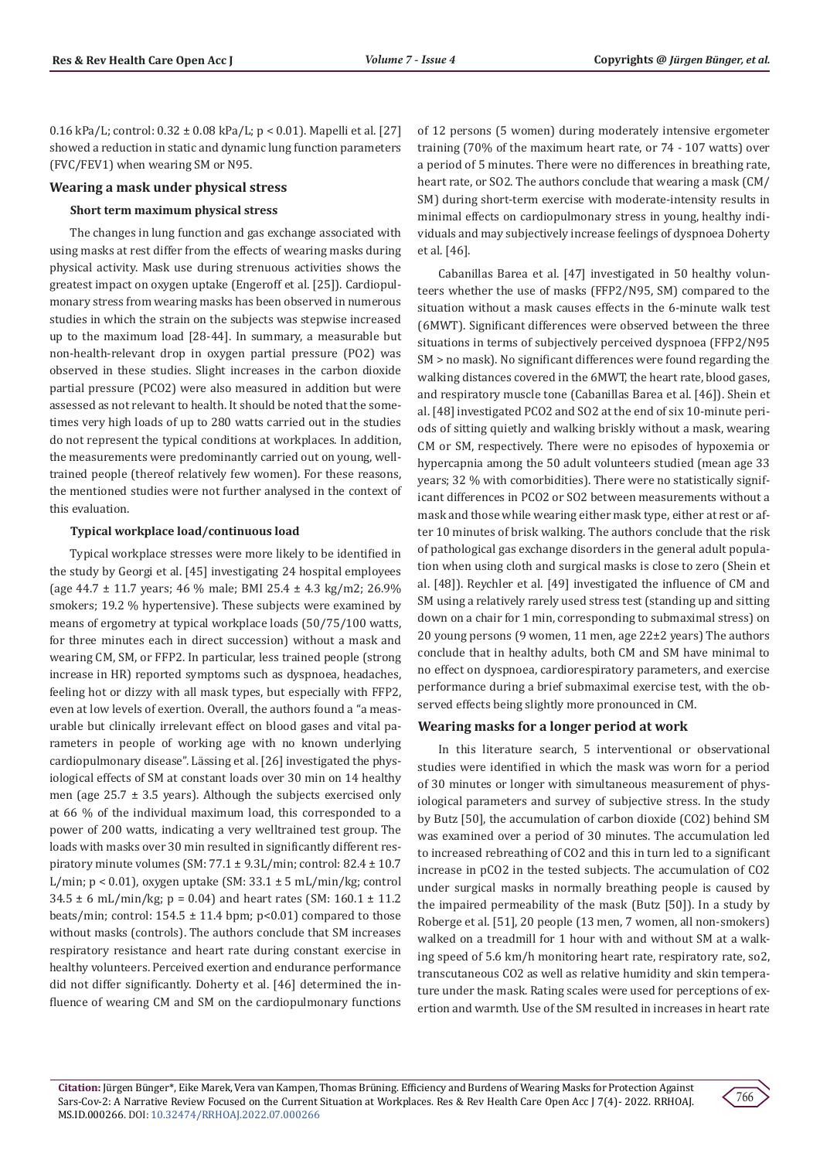0.16 kPa/L; control: 0.32 ± 0.08 kPa/L; p < 0.01). Mapelli et al. [27] showed a reduction in static and dynamic lung function parameters (FVC/FEV1) when wearing SM or N95.

#### **Wearing a mask under physical stress**

#### **Short term maximum physical stress**

The changes in lung function and gas exchange associated with using masks at rest differ from the effects of wearing masks during physical activity. Mask use during strenuous activities shows the greatest impact on oxygen uptake (Engeroff et al. [25]). Cardiopulmonary stress from wearing masks has been observed in numerous studies in which the strain on the subjects was stepwise increased up to the maximum load [28-44]. In summary, a measurable but non-health-relevant drop in oxygen partial pressure (PO2) was observed in these studies. Slight increases in the carbon dioxide partial pressure (PCO2) were also measured in addition but were assessed as not relevant to health. It should be noted that the sometimes very high loads of up to 280 watts carried out in the studies do not represent the typical conditions at workplaces. In addition, the measurements were predominantly carried out on young, welltrained people (thereof relatively few women). For these reasons, the mentioned studies were not further analysed in the context of this evaluation.

#### **Typical workplace load/continuous load**

Typical workplace stresses were more likely to be identified in the study by Georgi et al. [45] investigating 24 hospital employees (age 44.7 ± 11.7 years; 46 % male; BMI 25.4 ± 4.3 kg/m2; 26.9% smokers; 19.2 % hypertensive). These subjects were examined by means of ergometry at typical workplace loads (50/75/100 watts, for three minutes each in direct succession) without a mask and wearing CM, SM, or FFP2. In particular, less trained people (strong increase in HR) reported symptoms such as dyspnoea, headaches, feeling hot or dizzy with all mask types, but especially with FFP2, even at low levels of exertion. Overall, the authors found a "a measurable but clinically irrelevant effect on blood gases and vital parameters in people of working age with no known underlying cardiopulmonary disease". Lässing et al. [26] investigated the physiological effects of SM at constant loads over 30 min on 14 healthy men (age  $25.7 \pm 3.5$  years). Although the subjects exercised only at 66 % of the individual maximum load, this corresponded to a power of 200 watts, indicating a very welltrained test group. The loads with masks over 30 min resulted in significantly different respiratory minute volumes (SM: 77.1 ± 9.3L/min; control: 82.4 ± 10.7 L/min;  $p < 0.01$ ), oxygen uptake (SM: 33.1  $\pm$  5 mL/min/kg; control  $34.5 \pm 6$  mL/min/kg; p = 0.04) and heart rates (SM: 160.1  $\pm$  11.2 beats/min; control:  $154.5 \pm 11.4$  bpm;  $p<0.01$ ) compared to those without masks (controls). The authors conclude that SM increases respiratory resistance and heart rate during constant exercise in healthy volunteers. Perceived exertion and endurance performance did not differ significantly. Doherty et al. [46] determined the influence of wearing CM and SM on the cardiopulmonary functions

of 12 persons (5 women) during moderately intensive ergometer training (70% of the maximum heart rate, or 74 - 107 watts) over a period of 5 minutes. There were no differences in breathing rate, heart rate, or SO2. The authors conclude that wearing a mask (CM/ SM) during short-term exercise with moderate-intensity results in minimal effects on cardiopulmonary stress in young, healthy individuals and may subjectively increase feelings of dyspnoea Doherty et al. [46].

Cabanillas Barea et al. [47] investigated in 50 healthy volunteers whether the use of masks (FFP2/N95, SM) compared to the situation without a mask causes effects in the 6-minute walk test (6MWT). Significant differences were observed between the three situations in terms of subjectively perceived dyspnoea (FFP2/N95 SM > no mask). No significant differences were found regarding the walking distances covered in the 6MWT, the heart rate, blood gases, and respiratory muscle tone (Cabanillas Barea et al. [46]). Shein et al. [48] investigated PCO2 and SO2 at the end of six 10-minute periods of sitting quietly and walking briskly without a mask, wearing CM or SM, respectively. There were no episodes of hypoxemia or hypercapnia among the 50 adult volunteers studied (mean age 33 years; 32 % with comorbidities). There were no statistically significant differences in PCO2 or SO2 between measurements without a mask and those while wearing either mask type, either at rest or after 10 minutes of brisk walking. The authors conclude that the risk of pathological gas exchange disorders in the general adult population when using cloth and surgical masks is close to zero (Shein et al. [48]). Reychler et al. [49] investigated the influence of CM and SM using a relatively rarely used stress test (standing up and sitting down on a chair for 1 min, corresponding to submaximal stress) on 20 young persons (9 women, 11 men, age 22±2 years) The authors conclude that in healthy adults, both CM and SM have minimal to no effect on dyspnoea, cardiorespiratory parameters, and exercise performance during a brief submaximal exercise test, with the observed effects being slightly more pronounced in CM.

#### **Wearing masks for a longer period at work**

In this literature search, 5 interventional or observational studies were identified in which the mask was worn for a period of 30 minutes or longer with simultaneous measurement of physiological parameters and survey of subjective stress. In the study by Butz [50], the accumulation of carbon dioxide (CO2) behind SM was examined over a period of 30 minutes. The accumulation led to increased rebreathing of CO2 and this in turn led to a significant increase in pCO2 in the tested subjects. The accumulation of CO2 under surgical masks in normally breathing people is caused by the impaired permeability of the mask (Butz [50]). In a study by Roberge et al. [51], 20 people (13 men, 7 women, all non-smokers) walked on a treadmill for 1 hour with and without SM at a walking speed of 5.6 km/h monitoring heart rate, respiratory rate, so2, transcutaneous CO2 as well as relative humidity and skin temperature under the mask. Rating scales were used for perceptions of exertion and warmth. Use of the SM resulted in increases in heart rate

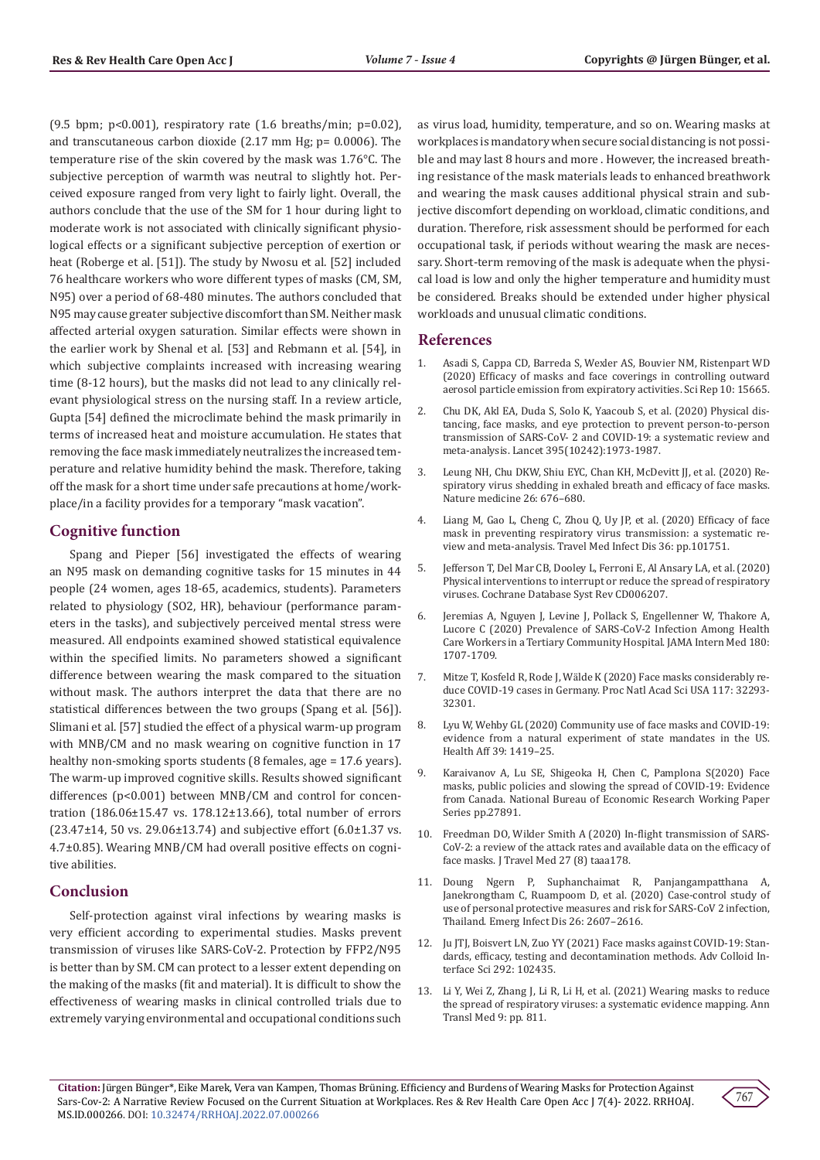(9.5 bpm; p<0.001), respiratory rate (1.6 breaths/min; p=0.02), and transcutaneous carbon dioxide (2.17 mm Hg; p= 0.0006). The temperature rise of the skin covered by the mask was 1.76°C. The subjective perception of warmth was neutral to slightly hot. Perceived exposure ranged from very light to fairly light. Overall, the authors conclude that the use of the SM for 1 hour during light to moderate work is not associated with clinically significant physiological effects or a significant subjective perception of exertion or heat (Roberge et al. [51]). The study by Nwosu et al. [52] included 76 healthcare workers who wore different types of masks (CM, SM, N95) over a period of 68-480 minutes. The authors concluded that N95 may cause greater subjective discomfort than SM. Neither mask affected arterial oxygen saturation. Similar effects were shown in the earlier work by Shenal et al. [53] and Rebmann et al. [54], in which subjective complaints increased with increasing wearing time (8-12 hours), but the masks did not lead to any clinically relevant physiological stress on the nursing staff. In a review article, Gupta [54] defined the microclimate behind the mask primarily in terms of increased heat and moisture accumulation. He states that removing the face mask immediately neutralizes the increased temperature and relative humidity behind the mask. Therefore, taking off the mask for a short time under safe precautions at home/workplace/in a facility provides for a temporary "mask vacation".

# **Cognitive function**

Spang and Pieper [56] investigated the effects of wearing an N95 mask on demanding cognitive tasks for 15 minutes in 44 people (24 women, ages 18-65, academics, students). Parameters related to physiology (SO2, HR), behaviour (performance parameters in the tasks), and subjectively perceived mental stress were measured. All endpoints examined showed statistical equivalence within the specified limits. No parameters showed a significant difference between wearing the mask compared to the situation without mask. The authors interpret the data that there are no statistical differences between the two groups (Spang et al. [56]). Slimani et al. [57] studied the effect of a physical warm-up program with MNB/CM and no mask wearing on cognitive function in 17 healthy non-smoking sports students (8 females, age = 17.6 years). The warm-up improved cognitive skills. Results showed significant differences (p<0.001) between MNB/CM and control for concentration (186.06±15.47 vs. 178.12±13.66), total number of errors (23.47±14, 50 vs. 29.06±13.74) and subjective effort (6.0±1.37 vs. 4.7±0.85). Wearing MNB/CM had overall positive effects on cognitive abilities.

# **Conclusion**

Self-protection against viral infections by wearing masks is very efficient according to experimental studies. Masks prevent transmission of viruses like SARS-CoV-2. Protection by FFP2/N95 is better than by SM. CM can protect to a lesser extent depending on the making of the masks (fit and material). It is difficult to show the effectiveness of wearing masks in clinical controlled trials due to extremely varying environmental and occupational conditions such as virus load, humidity, temperature, and so on. Wearing masks at workplaces is mandatory when secure social distancing is not possible and may last 8 hours and more . However, the increased breathing resistance of the mask materials leads to enhanced breathwork and wearing the mask causes additional physical strain and subjective discomfort depending on workload, climatic conditions, and duration. Therefore, risk assessment should be performed for each occupational task, if periods without wearing the mask are necessary. Short-term removing of the mask is adequate when the physical load is low and only the higher temperature and humidity must be considered. Breaks should be extended under higher physical workloads and unusual climatic conditions.

#### **References**

- 1. [Asadi S, Cappa CD, Barreda S, Wexler AS, Bouvier NM, Ristenpart WD](https://www.researchgate.net/publication/344394025_Efficacy_of_masks_and_face_coverings_in_controlling_outward_aerosol_particle_emission_from_expiratory_activities) [\(2020\) Efficacy of masks and face coverings in controlling outward](https://www.researchgate.net/publication/344394025_Efficacy_of_masks_and_face_coverings_in_controlling_outward_aerosol_particle_emission_from_expiratory_activities) [aerosol particle emission from expiratory activities. Sci Rep 10: 15665.](https://www.researchgate.net/publication/344394025_Efficacy_of_masks_and_face_coverings_in_controlling_outward_aerosol_particle_emission_from_expiratory_activities)
- 2. [Chu DK, Akl EA, Duda S, Solo K, Yaacoub S, et al. \(2020\) Physical dis](https://pubmed.ncbi.nlm.nih.gov/32497510/)[tancing, face masks, and eye protection to prevent person-to-person](https://pubmed.ncbi.nlm.nih.gov/32497510/) [transmission of SARS-CoV- 2 and COVID-19: a systematic review and](https://pubmed.ncbi.nlm.nih.gov/32497510/) [meta-analysis. Lancet 395\(10242\):1973-1987.](https://pubmed.ncbi.nlm.nih.gov/32497510/)
- 3. [Leung NH, Chu DKW, Shiu EYC, Chan KH, McDevitt JJ, et al. \(2020\) Re](https://pubmed.ncbi.nlm.nih.gov/32371934/)[spiratory virus shedding in exhaled breath and efficacy of face masks.](https://pubmed.ncbi.nlm.nih.gov/32371934/) [Nature medicine 26: 676–680.](https://pubmed.ncbi.nlm.nih.gov/32371934/)
- 4. [Liang M, Gao L, Cheng C, Zhou Q, Uy JP, et al. \(2020\) Efficacy of face](https://pubmed.ncbi.nlm.nih.gov/32473312/) [mask in preventing respiratory virus transmission: a systematic re](https://pubmed.ncbi.nlm.nih.gov/32473312/)[view and meta-analysis. Travel Med Infect Dis 36: pp.101751.](https://pubmed.ncbi.nlm.nih.gov/32473312/)
- 5. [Jefferson T, Del Mar CB, Dooley L, Ferroni E, Al Ansary LA, et al. \(2020\)](https://pubmed.ncbi.nlm.nih.gov/21735402/) [Physical interventions to interrupt or reduce the spread of respiratory](https://pubmed.ncbi.nlm.nih.gov/21735402/) [viruses. Cochrane Database Syst Rev CD006207.](https://pubmed.ncbi.nlm.nih.gov/21735402/)
- 6. [Jeremias A, Nguyen J, Levine J, Pollack S, Engellenner W, Thakore A,](https://pubmed.ncbi.nlm.nih.gov/32780100/) [Lucore C \(2020\) Prevalence of SARS-CoV-2 Infection Among Health](https://pubmed.ncbi.nlm.nih.gov/32780100/) [Care Workers in a Tertiary Community Hospital. JAMA Intern Med 180:](https://pubmed.ncbi.nlm.nih.gov/32780100/) [1707-1709.](https://pubmed.ncbi.nlm.nih.gov/32780100/)
- 7. Mitze T, Kosfeld R, Rode J, Wälde K (2020) Face masks considerably reduce COVID-19 cases in Germany. Proc Natl Acad Sci USA 117: 32293- 32301.
- 8. [Lyu W, Wehby GL \(2020\) Community use of face masks and COVID-19:](https://pubmed.ncbi.nlm.nih.gov/32543923/) [evidence from a natural experiment of state mandates in the US.](https://pubmed.ncbi.nlm.nih.gov/32543923/) [Health Aff 39: 1419–25.](https://pubmed.ncbi.nlm.nih.gov/32543923/)
- 9. Karaivanov A, Lu SE, Shigeoka H, Chen C, Pamplona S(2020) Face masks, public policies and slowing the spread of COVID-19: Evidence from Canada. National Bureau of Economic Research Working Paper Series pp.27891.
- 10. [Freedman DO, Wilder Smith A \(2020\) In-flight transmission of SARS-](https://pubmed.ncbi.nlm.nih.gov/32975554/)[CoV-2: a review of the attack rates and available data on the efficacy of](https://pubmed.ncbi.nlm.nih.gov/32975554/) [face masks. J Travel Med 27 \(8\) taaa178.](https://pubmed.ncbi.nlm.nih.gov/32975554/)
- 11. [Doung Ngern P, Suphanchaimat R, Panjangampatthana A,](https://pubmed.ncbi.nlm.nih.gov/32931726/) [Janekrongtham C, Ruampoom D, et al. \(2020\) Case-control study of](https://pubmed.ncbi.nlm.nih.gov/32931726/) [use of personal protective measures and risk for SARS-CoV 2 infection,](https://pubmed.ncbi.nlm.nih.gov/32931726/) [Thailand. Emerg Infect Dis 26: 2607–2616.](https://pubmed.ncbi.nlm.nih.gov/32931726/)
- 12. [Ju JTJ, Boisvert LN, Zuo YY \(2021\) Face masks against COVID-19: Stan](https://pubmed.ncbi.nlm.nih.gov/33971389/)[dards, efficacy, testing and decontamination methods. Adv Colloid In](https://pubmed.ncbi.nlm.nih.gov/33971389/)[terface Sci 292: 102435.](https://pubmed.ncbi.nlm.nih.gov/33971389/)
- 13. Li Y, Wei Z, Zhang J, Li R, Li H, et al. (2021) Wearing masks to reduce the spread of respiratory viruses: a systematic evidence mapping. Ann Transl Med 9: pp. 811.

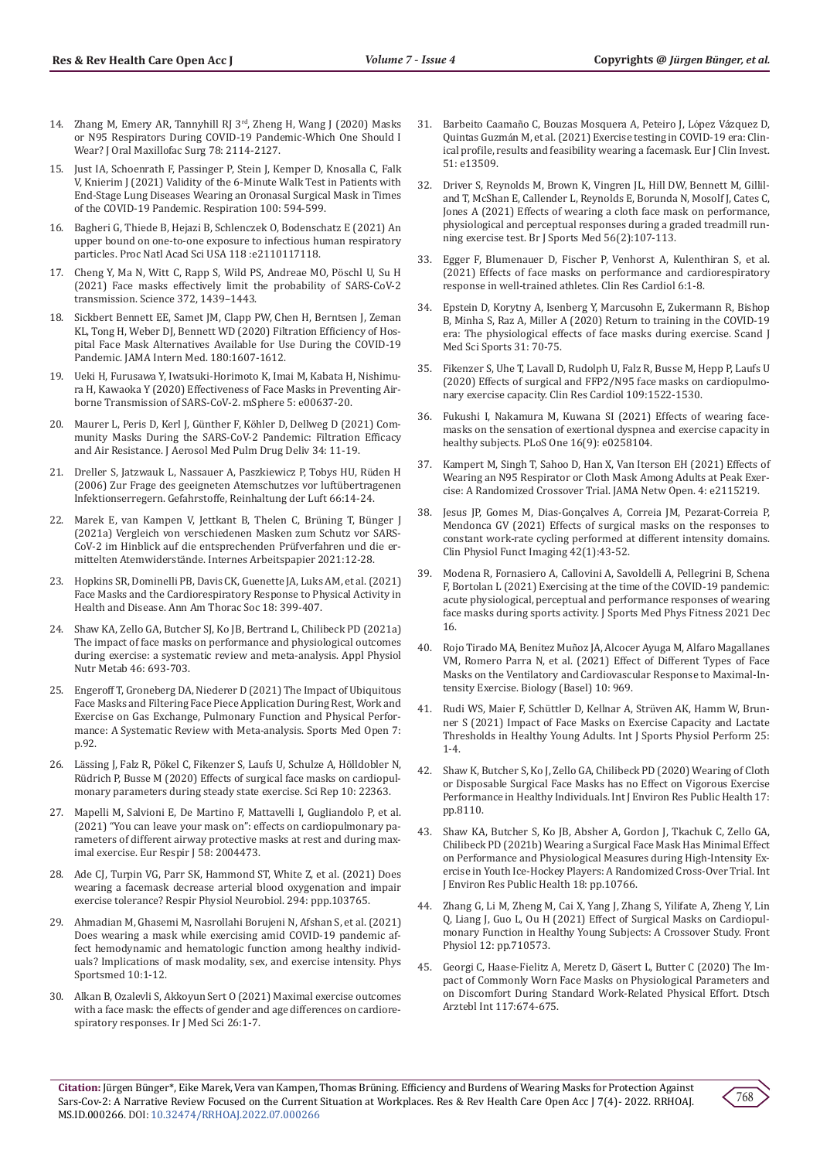- 14. [Zhang M, Emery AR, Tannyhill RJ 3rd](https://pubmed.ncbi.nlm.nih.gov/32926868/), Zheng H, Wang J (2020) Masks [or N95 Respirators During COVID-19 Pandemic-Which One Should I](https://pubmed.ncbi.nlm.nih.gov/32926868/)  [Wear? J Oral Maxillofac Surg 78: 2114-2127.](https://pubmed.ncbi.nlm.nih.gov/32926868/)
- 15. [Just IA, Schoenrath F, Passinger P, Stein J, Kemper D, Knosalla C, Falk](https://pubmed.ncbi.nlm.nih.gov/33878758/)  [V, Knierim J \(2021\) Validity of the 6-Minute Walk Test in Patients with](https://pubmed.ncbi.nlm.nih.gov/33878758/)  [End-Stage Lung Diseases Wearing an Oronasal Surgical Mask in Times](https://pubmed.ncbi.nlm.nih.gov/33878758/)  [of the COVID-19 Pandemic. Respiration 100: 594-599.](https://pubmed.ncbi.nlm.nih.gov/33878758/)
- 16. Bagheri G, Thiede B, Hejazi B, Schlenczek O, Bodenschatz E (2021) An upper bound on one-to-one exposure to infectious human respiratory particles. Proc Natl Acad Sci USA 118 :e2110117118.
- 17. [Cheng Y, Ma N, Witt C, Rapp S, Wild PS, Andreae MO, Pöschl U, Su H](https://pubmed.ncbi.nlm.nih.gov/34016743/)  [\(2021\) Face masks effectively limit the probability of SARS-CoV-2](https://pubmed.ncbi.nlm.nih.gov/34016743/)  [transmission. Science 372, 1439–1443.](https://pubmed.ncbi.nlm.nih.gov/34016743/)
- 18. [Sickbert Bennett EE, Samet JM, Clapp PW, Chen H, Berntsen J, Zeman](https://pubmed.ncbi.nlm.nih.gov/32780113/)  [KL, Tong H, Weber DJ, Bennett WD \(2020\) Filtration Efficiency of Hos](https://pubmed.ncbi.nlm.nih.gov/32780113/)[pital Face Mask Alternatives Available for Use During the COVID-19](https://pubmed.ncbi.nlm.nih.gov/32780113/)  [Pandemic. JAMA Intern Med. 180:1607-1612.](https://pubmed.ncbi.nlm.nih.gov/32780113/)
- 19. [Ueki H, Furusawa Y, Iwatsuki-Horimoto K, Imai M, Kabata H, Nishimu](https://pubmed.ncbi.nlm.nih.gov/33087517/)[ra H, Kawaoka Y \(2020\) Effectiveness of Face Masks in Preventing Air](https://pubmed.ncbi.nlm.nih.gov/33087517/)[borne Transmission of SARS-CoV-2. mSphere 5: e00637-20.](https://pubmed.ncbi.nlm.nih.gov/33087517/)
- 20. Maurer L, Peris D, Kerl J, Günther F, Köhler D, Dellweg D (2021) Community Masks During the SARS-CoV-2 Pandemic: Filtration Efficacy and Air Resistance. J Aerosol Med Pulm Drug Deliv 34: 11-19.
- 21. Dreller S, Jatzwauk L, Nassauer A, Paszkiewicz P, Tobys HU, Rüden H (2006) Zur Frage des geeigneten Atemschutzes vor luftübertragenen Infektionserregern. Gefahrstoffe, Reinhaltung der Luft 66:14-24.
- 22. Marek E, van Kampen V, Jettkant B, Thelen C, Brüning T, Bünger J (2021a) Vergleich von verschiedenen Masken zum Schutz vor SARS-CoV-2 im Hinblick auf die entsprechenden Prüfverfahren und die ermittelten Atemwiderstände. Internes Arbeitspapier 2021:12-28.
- 23. [Hopkins SR, Dominelli PB, Davis CK, Guenette JA, Luks AM, et al. \(2021\)](https://pubmed.ncbi.nlm.nih.gov/33196294/)  [Face Masks and the Cardiorespiratory Response to Physical Activity in](https://pubmed.ncbi.nlm.nih.gov/33196294/)  [Health and Disease. Ann Am Thorac Soc 18: 399-407.](https://pubmed.ncbi.nlm.nih.gov/33196294/)
- 24. [Shaw KA, Zello GA, Butcher SJ, Ko JB, Bertrand L, Chilibeck PD \(2021a\)](https://pubmed.ncbi.nlm.nih.gov/33901405/)  [The impact of face masks on performance and physiological outcomes](https://pubmed.ncbi.nlm.nih.gov/33901405/)  [during exercise: a systematic review and meta-analysis. Appl Physiol](https://pubmed.ncbi.nlm.nih.gov/33901405/)  [Nutr Metab 46: 693-703.](https://pubmed.ncbi.nlm.nih.gov/33901405/)
- 25. [Engeroff T, Groneberg DA, Niederer D \(2021\) The Impact of Ubiquitous](https://pubmed.ncbi.nlm.nih.gov/34897560/)  [Face Masks and Filtering Face Piece Application During Rest, Work and](https://pubmed.ncbi.nlm.nih.gov/34897560/)  [Exercise on Gas Exchange, Pulmonary Function and Physical Perfor](https://pubmed.ncbi.nlm.nih.gov/34897560/)[mance: A Systematic Review with Meta-analysis. Sports Med Open 7:](https://pubmed.ncbi.nlm.nih.gov/34897560/)  [p.92.](https://pubmed.ncbi.nlm.nih.gov/34897560/)
- 26. Lässing J, Falz R, Pökel C, Fikenzer S, Laufs U, Schulze A, Hölldobler N, Rüdrich P, Busse M (2020) Effects of surgical face masks on cardiopulmonary parameters during steady state exercise. Sci Rep 10: 22363.
- 27. Mapelli M, Salvioni E, De Martino F, Mattavelli I, Gugliandolo P, et al. (2021) "You can leave your mask on": effects on cardiopulmonary parameters of different airway protective masks at rest and during maximal exercise. Eur Respir J 58: 2004473.
- 28. [Ade CJ, Turpin VG, Parr SK, Hammond ST, White Z, et al. \(2021\) Does](https://pubmed.ncbi.nlm.nih.gov/34352384/)  [wearing a facemask decrease arterial blood oxygenation and impair](https://pubmed.ncbi.nlm.nih.gov/34352384/)  [exercise tolerance? Respir Physiol Neurobiol. 294: ppp.103765.](https://pubmed.ncbi.nlm.nih.gov/34352384/)
- 29. [Ahmadian M, Ghasemi M, Nasrollahi Borujeni N, Afshan S, et al. \(2021\)](https://pubmed.ncbi.nlm.nih.gov/33902400/)  [Does wearing a mask while exercising amid COVID-19 pandemic af](https://pubmed.ncbi.nlm.nih.gov/33902400/)[fect hemodynamic and hematologic function among healthy individ](https://pubmed.ncbi.nlm.nih.gov/33902400/)[uals? Implications of mask modality, sex, and exercise intensity. Phys](https://pubmed.ncbi.nlm.nih.gov/33902400/)  [Sportsmed 10:1-12.](https://pubmed.ncbi.nlm.nih.gov/33902400/)
- 30. Alkan B, Ozalevli S, Akkoyun Sert O (2021) Maximal exercise outcomes with a face mask: the effects of gender and age differences on cardiorespiratory responses. Ir J Med Sci 26:1-7.
- 31. Barbeito Caamañ[o C, Bouzas Mosquera A, Peteiro J, L](https://pubmed.ncbi.nlm.nih.gov/33548060/)ópez Vázquez D, Quintas Guzmá[n M, et al. \(2021\) Exercise testing in COVID-19 era: Clin](https://pubmed.ncbi.nlm.nih.gov/33548060/)[ical profile, results and feasibility wearing a facemask. Eur J Clin Invest.](https://pubmed.ncbi.nlm.nih.gov/33548060/) [51: e13509.](https://pubmed.ncbi.nlm.nih.gov/33548060/)
- 32. Driver S, Reynolds M, Brown K, Vingren JL, Hill DW, Bennett M, Gilliland T, McShan E, Callender L, Reynolds E, Borunda N, Mosolf J, Cates C, Jones A (2021) Effects of wearing a cloth face mask on performance, physiological and perceptual responses during a graded treadmill running exercise test. Br J Sports Med 56(2):107-113.
- 33. Egger F, Blumenauer D, Fischer P, Venhorst A, Kulenthiran S, et al. (2021) Effects of face masks on performance and cardiorespiratory response in well-trained athletes. Clin Res Cardiol 6:1-8.
- 34. Epstein D, Korytny A, Isenberg Y, Marcusohn E, Zukermann R, Bishop B, Minha S, Raz A, Miller A (2020) Return to training in the COVID-19 era: The physiological effects of face masks during exercise. Scand J Med Sci Sports 31: 70-75.
- 35. [Fikenzer S, Uhe T, Lavall D, Rudolph U, Falz R, Busse M, Hepp P, Laufs U](https://pubmed.ncbi.nlm.nih.gov/32632523/) [\(2020\) Effects of surgical and FFP2/N95 face masks on cardiopulmo](https://pubmed.ncbi.nlm.nih.gov/32632523/)[nary exercise capacity. Clin Res Cardiol 109:1522-1530.](https://pubmed.ncbi.nlm.nih.gov/32632523/)
- 36. Fukushi I, Nakamura M, Kuwana SI (2021) Effects of wearing facemasks on the sensation of exertional dyspnea and exercise capacity in healthy subjects. PLoS One 16(9): e0258104.
- 37. [Kampert M, Singh T, Sahoo D, Han X, Van Iterson EH \(2021\) Effects of](https://pubmed.ncbi.nlm.nih.gov/34190998/) [Wearing an N95 Respirator or Cloth Mask Among Adults at Peak Exer](https://pubmed.ncbi.nlm.nih.gov/34190998/)[cise: A Randomized Crossover Trial. JAMA Netw Open. 4: e2115219.](https://pubmed.ncbi.nlm.nih.gov/34190998/)
- 38. Jesus JP, Gomes M, Dias-Gonçalves A, Correia JM, Pezarat-Correia P, Mendonca GV (2021) Effects of surgical masks on the responses to constant work-rate cycling performed at different intensity domains. Clin Physiol Funct Imaging 42(1):43-52.
- 39. Modena R, Fornasiero A, Callovini A, Savoldelli A, Pellegrini B, Schena F, Bortolan L (2021) Exercising at the time of the COVID-19 pandemic: acute physiological, perceptual and performance responses of wearing face masks during sports activity. J Sports Med Phys Fitness 2021 Dec 16.
- 40. Rojo Tirado MA, Benítez Muñ[oz JA, Alcocer Ayuga M, Alfaro Magallanes](https://pubmed.ncbi.nlm.nih.gov/34681068/) [VM, Romero Parra N, et al. \(2021\) Effect of Different Types of Face](https://pubmed.ncbi.nlm.nih.gov/34681068/) [Masks on the Ventilatory and Cardiovascular Response to Maximal-In](https://pubmed.ncbi.nlm.nih.gov/34681068/)[tensity Exercise. Biology \(Basel\) 10: 969.](https://pubmed.ncbi.nlm.nih.gov/34681068/)
- 41. [Rudi WS, Maier F, Schüttler D, Kellnar A, Str](https://pubmed.ncbi.nlm.nih.gov/34824166/)üven AK, Hamm W, Brun[ner S \(2021\) Impact of Face Masks on Exercise Capacity and Lactate](https://pubmed.ncbi.nlm.nih.gov/34824166/) [Thresholds in Healthy Young Adults. Int J Sports Physiol Perform 25:](https://pubmed.ncbi.nlm.nih.gov/34824166/) [1-4.](https://pubmed.ncbi.nlm.nih.gov/34824166/)
- 42. [Shaw K, Butcher S, Ko J, Zello GA, Chilibeck PD \(2020\) Wearing of Cloth](https://pubmed.ncbi.nlm.nih.gov/33153145/) [or Disposable Surgical Face Masks has no Effect on Vigorous Exercise](https://pubmed.ncbi.nlm.nih.gov/33153145/) [Performance in Healthy Individuals. Int J Environ Res Public Health 17:](https://pubmed.ncbi.nlm.nih.gov/33153145/) [pp.8110.](https://pubmed.ncbi.nlm.nih.gov/33153145/)
- 43. [Shaw KA, Butcher S, Ko JB, Absher A, Gordon J, Tkachuk C, Zello GA,](https://pubmed.ncbi.nlm.nih.gov/34682512/) [Chilibeck PD \(2021b\) Wearing a Surgical Face Mask Has Minimal Effect](https://pubmed.ncbi.nlm.nih.gov/34682512/) [on Performance and Physiological Measures during High-Intensity Ex](https://pubmed.ncbi.nlm.nih.gov/34682512/)[ercise in Youth Ice-Hockey Players: A Randomized Cross-Over Trial. Int](https://pubmed.ncbi.nlm.nih.gov/34682512/) [J Environ Res Public Health 18: pp.10766.](https://pubmed.ncbi.nlm.nih.gov/34682512/)
- 44. [Zhang G, Li M, Zheng M, Cai X, Yang J, Zhang S, Yilifate A, Zheng Y, Lin](https://pubmed.ncbi.nlm.nih.gov/34566679/) [Q, Liang J, Guo L, Ou H \(2021\) Effect of Surgical Masks on Cardiopul](https://pubmed.ncbi.nlm.nih.gov/34566679/)[monary Function in Healthy Young Subjects: A Crossover Study. Front](https://pubmed.ncbi.nlm.nih.gov/34566679/) [Physiol 12: pp.710573.](https://pubmed.ncbi.nlm.nih.gov/34566679/)
- 45. [Georgi C, Haase-Fielitz A, Meretz D, Gäsert L, Butter C \(2020\) The Im](https://pubmed.ncbi.nlm.nih.gov/33357352/)[pact of Commonly Worn Face Masks on Physiological Parameters and](https://pubmed.ncbi.nlm.nih.gov/33357352/) [on Discomfort During Standard Work-Related Physical Effort. Dtsch](https://pubmed.ncbi.nlm.nih.gov/33357352/) [Arztebl Int 117:674-675.](https://pubmed.ncbi.nlm.nih.gov/33357352/)